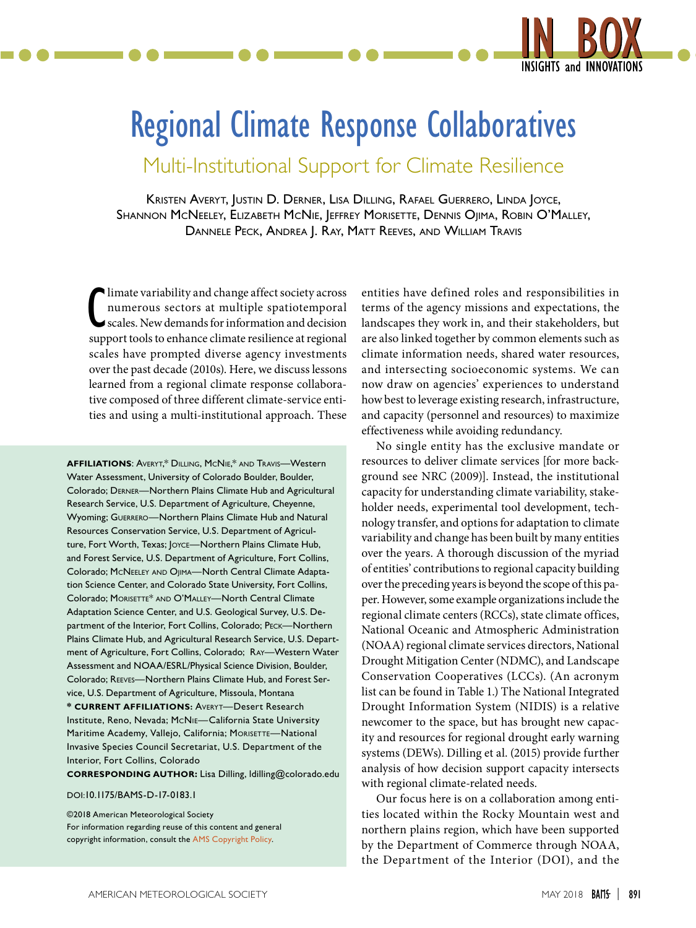# Regional Climate Response Collaboratives

Multi-Institutional Support for Climate Resilience

Kristen Averyt, Justin D. Derner, Lisa Dilling, Rafael Guerrero, Linda Joyce, SHANNON MCNEELEY, ELIZABETH MCNIE, JEFFREY MORISETTE, DENNIS OJIMA, ROBIN O'MALLEY, DANNELE PECK, ANDREA J. RAY, MATT REEVES, AND WILLIAM TRAVIS

 $\begin{array}{l} \textbf{I} \text{imate variability and change affect society across} \\ \textbf{numeros sectors at multiple spatiotemporal scales.} \\ \textbf{secales.} \text{New demands for information and decision support tools to enhance climate resilience at regional} \end{array}$ limate variability and change affect society across numerous sectors at multiple spatiotemporal scales. New demands for information and decision scales have prompted diverse agency investments over the past decade (2010s). Here, we discuss lessons learned from a regional climate response collaborative composed of three different climate-service entities and using a multi-institutional approach. These

**AFFILIATIONS:** AVERYT,\* DILLING, MCNIE,\* AND TRAVIS-Western Water Assessment, University of Colorado Boulder, Boulder, Colorado; DERNER—Northern Plains Climate Hub and Agricultural Research Service, U.S. Department of Agriculture, Cheyenne, Wyoming; GUERRERO-Northern Plains Climate Hub and Natural Resources Conservation Service, U.S. Department of Agriculture, Fort Worth, Texas; JOYCE-Northern Plains Climate Hub, and Forest Service, U.S. Department of Agriculture, Fort Collins, Colorado; MCNEELEY AND O|IMA-North Central Climate Adaptation Science Center, and Colorado State University, Fort Collins, Colorado; MORISETTE\* AND O'MALLEY-North Central Climate Adaptation Science Center, and U.S. Geological Survey, U.S. Department of the Interior, Fort Collins, Colorado; PECK-Northern Plains Climate Hub, and Agricultural Research Service, U.S. Department of Agriculture, Fort Collins, Colorado; RAY—Western Water Assessment and NOAA/ESRL/Physical Science Division, Boulder, Colorado; REEVES-Northern Plains Climate Hub, and Forest Service, U.S. Department of Agriculture, Missoula, Montana **\* CURRENT AFFILIATIONS:** AVErYt—Desert Research Institute, Reno, Nevada; McNIE-California State University Maritime Academy, Vallejo, California; MORISETTE-National Invasive Species Council Secretariat, U.S. Department of the Interior, Fort Collins, Colorado **CORRESPONDING AUTHOR:** Lisa Dilling, [ldilling@colorado.edu](mailto:ldilling%40colorado.edu?subject=)

[DOI:10.1175/BAMS-D-17-0183.1](https://doi.org/10.1175/BAMS-D-17-0183.1)

©2018 American Meteorological Society For information regarding reuse of this content and general copyright information, consult the [AMS Copyright Policy](http://www.ametsoc.org/PUBSReuseLicenses).

entities have defined roles and responsibilities in terms of the agency missions and expectations, the landscapes they work in, and their stakeholders, but are also linked together by common elements such as climate information needs, shared water resources, and intersecting socioeconomic systems. We can now draw on agencies' experiences to understand how best to leverage existing research, infrastructure, and capacity (personnel and resources) to maximize effectiveness while avoiding redundancy.

INSIGHTS and IN

No single entity has the exclusive mandate or resources to deliver climate services [for more background see NRC (2009)]. Instead, the institutional capacity for understanding climate variability, stakeholder needs, experimental tool development, technology transfer, and options for adaptation to climate variability and change has been built by many entities over the years. A thorough discussion of the myriad of entities' contributions to regional capacity building over the preceding years is beyond the scope of this paper. However, some example organizations include the regional climate centers (RCCs), state climate offices, National Oceanic and Atmospheric Administration (NOAA) regional climate services directors, National Drought Mitigation Center (NDMC), and Landscape Conservation Cooperatives (LCCs). (An acronym list can be found in Table 1.) The National Integrated Drought Information System (NIDIS) is a relative newcomer to the space, but has brought new capacity and resources for regional drought early warning systems (DEWs). Dilling et al. (2015) provide further analysis of how decision support capacity intersects with regional climate-related needs.

Our focus here is on a collaboration among entities located within the Rocky Mountain west and northern plains region, which have been supported by the Department of Commerce through NOAA, the Department of the Interior (DOI), and the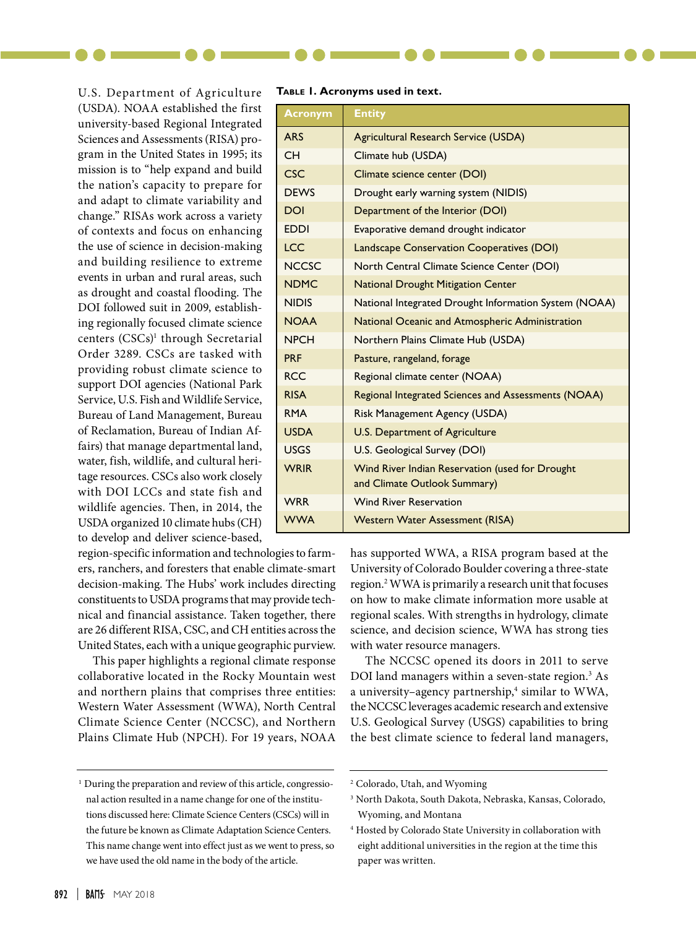U.S. Department of Agriculture (USDA). NOAA established the first university-based Regional Integrated Sciences and Assessments (RISA) program in the United States in 1995; its mission is to "help expand and build the nation's capacity to prepare for and adapt to climate variability and change." RISAs work across a variety of contexts and focus on enhancing the use of science in decision-making and building resilience to extreme events in urban and rural areas, such as drought and coastal flooding. The DOI followed suit in 2009, establishing regionally focused climate science centers (CSCs)<sup>1</sup> through Secretarial Order 3289. CSCs are tasked with providing robust climate science to support DOI agencies (National Park Service, U.S. Fish and Wildlife Service, Bureau of Land Management, Bureau of Reclamation, Bureau of Indian Affairs) that manage departmental land, water, fish, wildlife, and cultural heritage resources. CSCs also work closely with DOI LCCs and state fish and wildlife agencies. Then, in 2014, the USDA organized 10 climate hubs (CH) to develop and deliver science-based,

region-specific information and technologies to farmers, ranchers, and foresters that enable climate-smart decision-making. The Hubs' work includes directing constituents to USDA programs that may provide technical and financial assistance. Taken together, there are 26 different RISA, CSC, and CH entities across the United States, each with a unique geographic purview.

This paper highlights a regional climate response collaborative located in the Rocky Mountain west and northern plains that comprises three entities: Western Water Assessment (WWA), North Central Climate Science Center (NCCSC), and Northern Plains Climate Hub (NPCH). For 19 years, NOAA

**Table 1. Acronyms used in text.**

| <b>Acronym</b> | <b>Entity</b>                                                                   |  |  |  |
|----------------|---------------------------------------------------------------------------------|--|--|--|
| <b>ARS</b>     | Agricultural Research Service (USDA)                                            |  |  |  |
| <b>CH</b>      | Climate hub (USDA)                                                              |  |  |  |
| CSC            | Climate science center (DOI)                                                    |  |  |  |
| <b>DEWS</b>    | Drought early warning system (NIDIS)                                            |  |  |  |
| DOI            | Department of the Interior (DOI)                                                |  |  |  |
| <b>FDDI</b>    | Evaporative demand drought indicator                                            |  |  |  |
| <b>LCC</b>     | Landscape Conservation Cooperatives (DOI)                                       |  |  |  |
| <b>NCCSC</b>   | North Central Climate Science Center (DOI)                                      |  |  |  |
| <b>NDMC</b>    | <b>National Drought Mitigation Center</b>                                       |  |  |  |
| <b>NIDIS</b>   | National Integrated Drought Information System (NOAA)                           |  |  |  |
| <b>NOAA</b>    | National Oceanic and Atmospheric Administration                                 |  |  |  |
| <b>NPCH</b>    | Northern Plains Climate Hub (USDA)                                              |  |  |  |
| PRF            | Pasture, rangeland, forage                                                      |  |  |  |
| <b>RCC</b>     | Regional climate center (NOAA)                                                  |  |  |  |
| <b>RISA</b>    | Regional Integrated Sciences and Assessments (NOAA)                             |  |  |  |
| <b>RMA</b>     | Risk Management Agency (USDA)                                                   |  |  |  |
| <b>USDA</b>    | U.S. Department of Agriculture                                                  |  |  |  |
| <b>USGS</b>    | U.S. Geological Survey (DOI)                                                    |  |  |  |
| <b>WRIR</b>    | Wind River Indian Reservation (used for Drought<br>and Climate Outlook Summary) |  |  |  |
| <b>WRR</b>     | <b>Wind River Reservation</b>                                                   |  |  |  |
| <b>WWA</b>     | <b>Western Water Assessment (RISA)</b>                                          |  |  |  |

has supported WWA, a RISA program based at the University of Colorado Boulder covering a three-state region.2 WWA is primarily a research unit that focuses on how to make climate information more usable at regional scales. With strengths in hydrology, climate science, and decision science, WWA has strong ties with water resource managers.

The NCCSC opened its doors in 2011 to serve DOI land managers within a seven-state region.<sup>3</sup> As a university–agency partnership,<sup>4</sup> similar to WWA, the NCCSC leverages academic research and extensive U.S. Geological Survey (USGS) capabilities to bring the best climate science to federal land managers,

<sup>&</sup>lt;sup>1</sup> During the preparation and review of this article, congressional action resulted in a name change for one of the institutions discussed here: Climate Science Centers (CSCs) will in the future be known as Climate Adaptation Science Centers. This name change went into effect just as we went to press, so we have used the old name in the body of the article.

<sup>2</sup> Colorado, Utah, and Wyoming

<sup>3</sup> North Dakota, South Dakota, Nebraska, Kansas, Colorado, Wyoming, and Montana

<sup>4</sup> Hosted by Colorado State University in collaboration with eight additional universities in the region at the time this paper was written.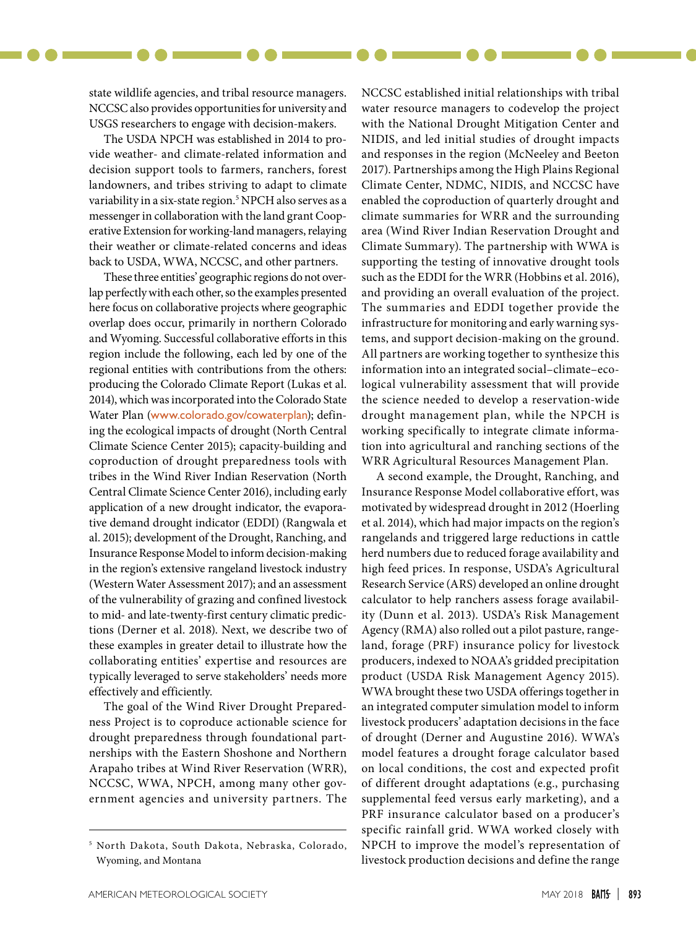state wildlife agencies, and tribal resource managers. NCCSC also provides opportunities for university and USGS researchers to engage with decision-makers.

The USDA NPCH was established in 2014 to provide weather- and climate-related information and decision support tools to farmers, ranchers, forest landowners, and tribes striving to adapt to climate variability in a six-state region.5 NPCH also serves as a messenger in collaboration with the land grant Cooperative Extension for working-land managers, relaying their weather or climate-related concerns and ideas back to USDA, WWA, NCCSC, and other partners.

These three entities' geographic regions do not overlap perfectly with each other, so the examples presented here focus on collaborative projects where geographic overlap does occur, primarily in northern Colorado and Wyoming. Successful collaborative efforts in this region include the following, each led by one of the regional entities with contributions from the others: producing the Colorado Climate Report (Lukas et al. 2014), which was incorporated into the Colorado State Water Plan ([www.colorado.gov/cowaterplan](http://www.colorado.gov/cowaterplan)); defining the ecological impacts of drought (North Central Climate Science Center 2015); capacity-building and coproduction of drought preparedness tools with tribes in the Wind River Indian Reservation (North Central Climate Science Center 2016), including early application of a new drought indicator, the evaporative demand drought indicator (EDDI) (Rangwala et al. 2015); development of the Drought, Ranching, and Insurance Response Model to inform decision-making in the region's extensive rangeland livestock industry (Western Water Assessment 2017); and an assessment of the vulnerability of grazing and confined livestock to mid- and late-twenty-first century climatic predictions (Derner et al. 2018). Next, we describe two of these examples in greater detail to illustrate how the collaborating entities' expertise and resources are typically leveraged to serve stakeholders' needs more effectively and efficiently.

The goal of the Wind River Drought Preparedness Project is to coproduce actionable science for drought preparedness through foundational partnerships with the Eastern Shoshone and Northern Arapaho tribes at Wind River Reservation (WRR), NCCSC, WWA, NPCH, among many other government agencies and university partners. The

NCCSC established initial relationships with tribal water resource managers to codevelop the project with the National Drought Mitigation Center and NIDIS, and led initial studies of drought impacts and responses in the region (McNeeley and Beeton 2017). Partnerships among the High Plains Regional Climate Center, NDMC, NIDIS, and NCCSC have enabled the coproduction of quarterly drought and climate summaries for WRR and the surrounding area (Wind River Indian Reservation Drought and Climate Summary). The partnership with WWA is supporting the testing of innovative drought tools such as the EDDI for the WRR (Hobbins et al. 2016), and providing an overall evaluation of the project. The summaries and EDDI together provide the infrastructure for monitoring and early warning systems, and support decision-making on the ground. All partners are working together to synthesize this information into an integrated social–climate–ecological vulnerability assessment that will provide the science needed to develop a reservation-wide drought management plan, while the NPCH is working specifically to integrate climate information into agricultural and ranching sections of the WRR Agricultural Resources Management Plan.

A second example, the Drought, Ranching, and Insurance Response Model collaborative effort, was motivated by widespread drought in 2012 (Hoerling et al. 2014), which had major impacts on the region's rangelands and triggered large reductions in cattle herd numbers due to reduced forage availability and high feed prices. In response, USDA's Agricultural Research Service (ARS) developed an online drought calculator to help ranchers assess forage availability (Dunn et al. 2013). USDA's Risk Management Agency (RMA) also rolled out a pilot pasture, rangeland, forage (PRF) insurance policy for livestock producers, indexed to NOAA's gridded precipitation product (USDA Risk Management Agency 2015). WWA brought these two USDA offerings together in an integrated computer simulation model to inform livestock producers' adaptation decisions in the face of drought (Derner and Augustine 2016). WWA's model features a drought forage calculator based on local conditions, the cost and expected profit of different drought adaptations (e.g., purchasing supplemental feed versus early marketing), and a PRF insurance calculator based on a producer's specific rainfall grid. WWA worked closely with NPCH to improve the model's representation of livestock production decisions and define the range

<sup>5</sup> North Dakota, South Dakota, Nebraska, Colorado, Wyoming, and Montana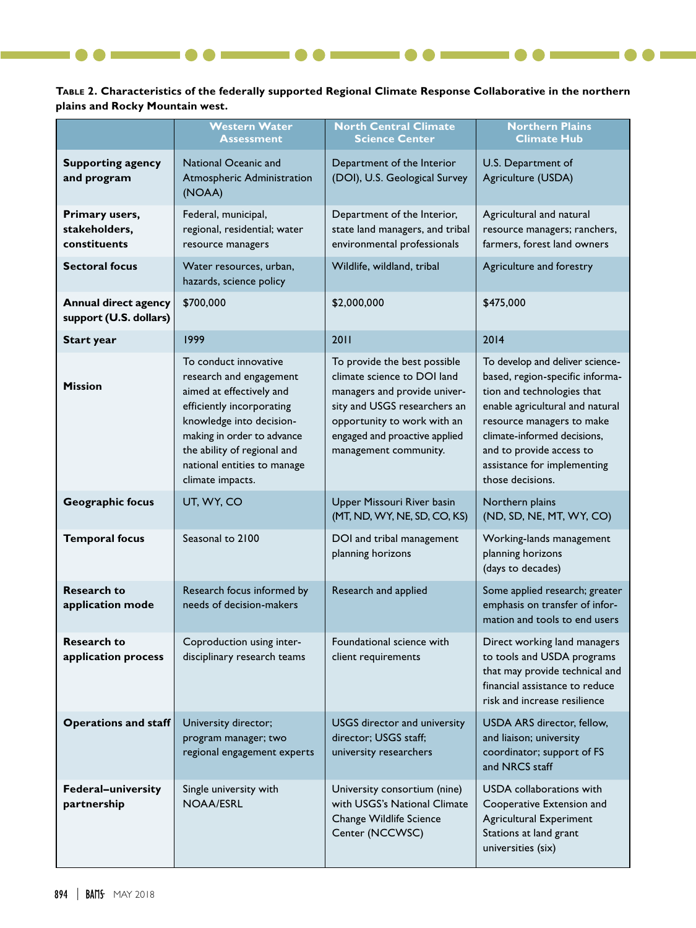#### **Table 2. Characteristics of the federally supported Regional Climate Response Collaborative in the northern plains and Rocky Mountain west.**

|                                                       | <b>Western Water</b><br><b>Assessment</b>                                                                                                                                                                                                             | <b>North Central Climate</b><br><b>Science Center</b>                                                                                                                                                                | <b>Northern Plains</b><br><b>Climate Hub</b>                                                                                                                                                                                                                                   |
|-------------------------------------------------------|-------------------------------------------------------------------------------------------------------------------------------------------------------------------------------------------------------------------------------------------------------|----------------------------------------------------------------------------------------------------------------------------------------------------------------------------------------------------------------------|--------------------------------------------------------------------------------------------------------------------------------------------------------------------------------------------------------------------------------------------------------------------------------|
| <b>Supporting agency</b><br>and program               | National Oceanic and<br>Atmospheric Administration<br>(NOAA)                                                                                                                                                                                          | Department of the Interior<br>(DOI), U.S. Geological Survey                                                                                                                                                          | U.S. Department of<br>Agriculture (USDA)                                                                                                                                                                                                                                       |
| Primary users,<br>stakeholders,<br>constituents       | Federal, municipal,<br>regional, residential; water<br>resource managers                                                                                                                                                                              | Department of the Interior,<br>state land managers, and tribal<br>environmental professionals                                                                                                                        | Agricultural and natural<br>resource managers; ranchers,<br>farmers, forest land owners                                                                                                                                                                                        |
| <b>Sectoral focus</b>                                 | Water resources, urban,<br>hazards, science policy                                                                                                                                                                                                    | Wildlife, wildland, tribal                                                                                                                                                                                           | Agriculture and forestry                                                                                                                                                                                                                                                       |
| <b>Annual direct agency</b><br>support (U.S. dollars) | \$700,000                                                                                                                                                                                                                                             | \$2,000,000                                                                                                                                                                                                          | \$475,000                                                                                                                                                                                                                                                                      |
| <b>Start year</b>                                     | 1999                                                                                                                                                                                                                                                  | 2011                                                                                                                                                                                                                 | 2014                                                                                                                                                                                                                                                                           |
| <b>Mission</b>                                        | To conduct innovative<br>research and engagement<br>aimed at effectively and<br>efficiently incorporating<br>knowledge into decision-<br>making in order to advance<br>the ability of regional and<br>national entities to manage<br>climate impacts. | To provide the best possible<br>climate science to DOI land<br>managers and provide univer-<br>sity and USGS researchers an<br>opportunity to work with an<br>engaged and proactive applied<br>management community. | To develop and deliver science-<br>based, region-specific informa-<br>tion and technologies that<br>enable agricultural and natural<br>resource managers to make<br>climate-informed decisions,<br>and to provide access to<br>assistance for implementing<br>those decisions. |
| <b>Geographic focus</b>                               | UT, WY, CO                                                                                                                                                                                                                                            | Upper Missouri River basin<br>(MT, ND, WY, NE, SD, CO, KS)                                                                                                                                                           | Northern plains<br>(ND, SD, NE, MT, WY, CO)                                                                                                                                                                                                                                    |
| <b>Temporal focus</b>                                 | Seasonal to 2100                                                                                                                                                                                                                                      | DOI and tribal management<br>planning horizons                                                                                                                                                                       | Working-lands management<br>planning horizons<br>(days to decades)                                                                                                                                                                                                             |
| <b>Research to</b><br>application mode                | Research focus informed by<br>needs of decision-makers                                                                                                                                                                                                | Research and applied                                                                                                                                                                                                 | Some applied research; greater<br>emphasis on transfer of infor-<br>mation and tools to end users                                                                                                                                                                              |
| <b>Research to</b><br>application process             | Coproduction using inter-<br>disciplinary research teams                                                                                                                                                                                              | Foundational science with<br>client requirements                                                                                                                                                                     | Direct working land managers<br>to tools and USDA programs<br>that may provide technical and<br>financial assistance to reduce<br>risk and increase resilience                                                                                                                 |
| <b>Operations and staff</b>                           | University director;<br>program manager; two<br>regional engagement experts                                                                                                                                                                           | USGS director and university<br>director; USGS staff;<br>university researchers                                                                                                                                      | USDA ARS director, fellow,<br>and liaison; university<br>coordinator; support of FS<br>and NRCS staff                                                                                                                                                                          |
| Federal-university<br>partnership                     | Single university with<br><b>NOAA/ESRL</b>                                                                                                                                                                                                            | University consortium (nine)<br>with USGS's National Climate<br>Change Wildlife Science<br>Center (NCCWSC)                                                                                                           | USDA collaborations with<br>Cooperative Extension and<br><b>Agricultural Experiment</b><br>Stations at land grant<br>universities (six)                                                                                                                                        |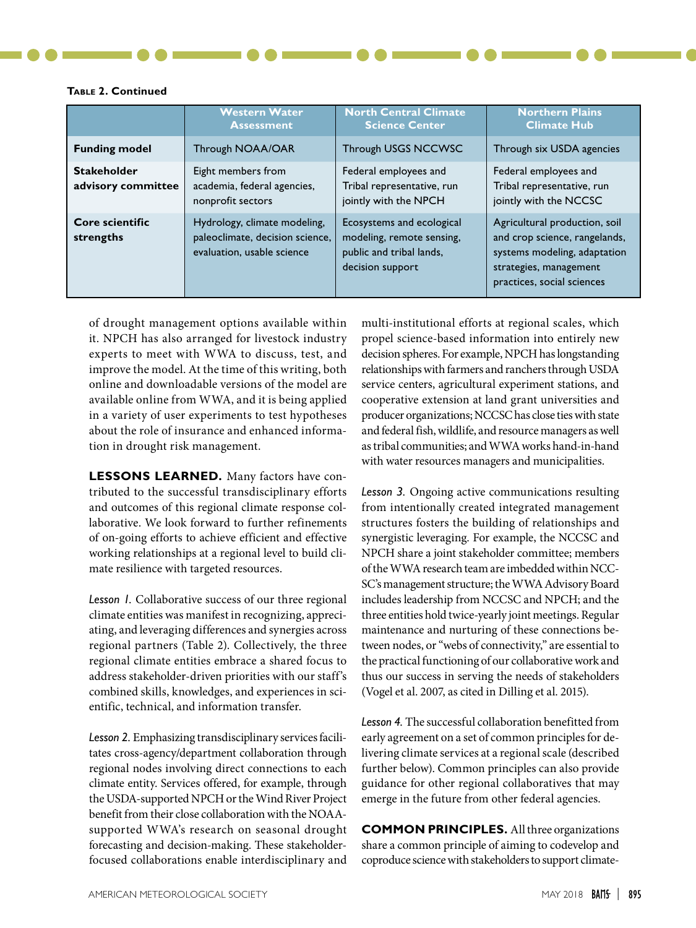|                                          | <b>Western Water</b><br><b>Assessment</b>                                                     | <b>North Central Climate</b><br><b>Science Center</b>                                                  | <b>Northern Plains</b><br><b>Climate Hub</b>                                                                                                           |
|------------------------------------------|-----------------------------------------------------------------------------------------------|--------------------------------------------------------------------------------------------------------|--------------------------------------------------------------------------------------------------------------------------------------------------------|
| <b>Funding model</b>                     | Through NOAA/OAR                                                                              | Through USGS NCCWSC                                                                                    | Through six USDA agencies                                                                                                                              |
| <b>Stakeholder</b><br>advisory committee | Eight members from<br>academia, federal agencies,<br>nonprofit sectors                        | Federal employees and<br>Tribal representative, run<br>jointly with the NPCH                           | Federal employees and<br>Tribal representative, run<br>jointly with the NCCSC                                                                          |
| Core scientific<br>strengths             | Hydrology, climate modeling,<br>paleoclimate, decision science,<br>evaluation, usable science | Ecosystems and ecological<br>modeling, remote sensing,<br>public and tribal lands,<br>decision support | Agricultural production, soil<br>and crop science, rangelands,<br>systems modeling, adaptation<br>strategies, management<br>practices, social sciences |

of drought management options available within it. NPCH has also arranged for livestock industry experts to meet with WWA to discuss, test, and improve the model. At the time of this writing, both online and downloadable versions of the model are available online from WWA, and it is being applied in a variety of user experiments to test hypotheses about the role of insurance and enhanced information in drought risk management.

**LESSONS LEARNED.** Many factors have contributed to the successful transdisciplinary efforts and outcomes of this regional climate response collaborative. We look forward to further refinements of on-going efforts to achieve efficient and effective working relationships at a regional level to build climate resilience with targeted resources.

*Lesson 1.* Collaborative success of our three regional climate entities was manifest in recognizing, appreciating, and leveraging differences and synergies across regional partners (Table 2). Collectively, the three regional climate entities embrace a shared focus to address stakeholder-driven priorities with our staff's combined skills, knowledges, and experiences in scientific, technical, and information transfer.

*Lesson 2.* Emphasizing transdisciplinary services facilitates cross-agency/department collaboration through regional nodes involving direct connections to each climate entity. Services offered, for example, through the USDA-supported NPCH or the Wind River Project benefit from their close collaboration with the NOAAsupported WWA's research on seasonal drought forecasting and decision-making. These stakeholderfocused collaborations enable interdisciplinary and multi-institutional efforts at regional scales, which propel science-based information into entirely new decision spheres. For example, NPCH has longstanding relationships with farmers and ranchers through USDA service centers, agricultural experiment stations, and cooperative extension at land grant universities and producer organizations; NCCSC has close ties with state and federal fish, wildlife, and resource managers as well as tribal communities; and WWA works hand-in-hand with water resources managers and municipalities.

*Lesson 3.* Ongoing active communications resulting from intentionally created integrated management structures fosters the building of relationships and synergistic leveraging. For example, the NCCSC and NPCH share a joint stakeholder committee; members of the WWA research team are imbedded within NCC-SC's management structure; the WWA Advisory Board includes leadership from NCCSC and NPCH; and the three entities hold twice-yearly joint meetings. Regular maintenance and nurturing of these connections between nodes, or "webs of connectivity," are essential to the practical functioning of our collaborative work and thus our success in serving the needs of stakeholders (Vogel et al. 2007, as cited in Dilling et al. 2015).

*Lesson 4.* The successful collaboration benefitted from early agreement on a set of common principles for delivering climate services at a regional scale (described further below). Common principles can also provide guidance for other regional collaboratives that may emerge in the future from other federal agencies.

**COMMON PRINCIPLES.** All three organizations share a common principle of aiming to codevelop and coproduce science with stakeholders to support climate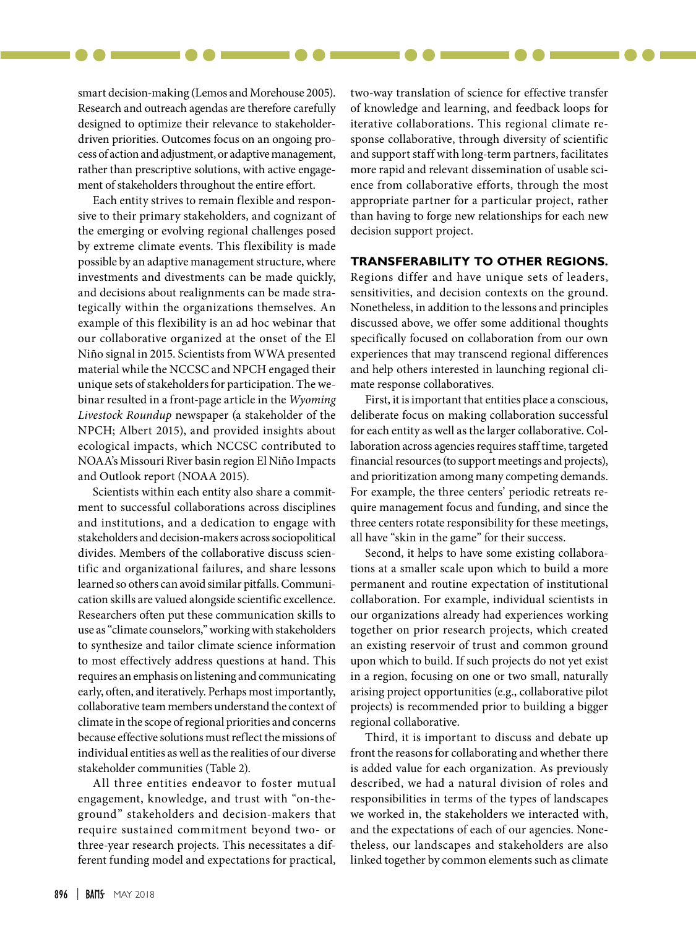smart decision-making (Lemos and Morehouse 2005). Research and outreach agendas are therefore carefully designed to optimize their relevance to stakeholderdriven priorities. Outcomes focus on an ongoing process of action and adjustment, or adaptive management, rather than prescriptive solutions, with active engagement of stakeholders throughout the entire effort.

Each entity strives to remain flexible and responsive to their primary stakeholders, and cognizant of the emerging or evolving regional challenges posed by extreme climate events. This flexibility is made possible by an adaptive management structure, where investments and divestments can be made quickly, and decisions about realignments can be made strategically within the organizations themselves. An example of this flexibility is an ad hoc webinar that our collaborative organized at the onset of the El Niño signal in 2015. Scientists from WWA presented material while the NCCSC and NPCH engaged their unique sets of stakeholders for participation. The webinar resulted in a front-page article in the *Wyoming Livestock Roundup* newspaper (a stakeholder of the NPCH; Albert 2015), and provided insights about ecological impacts, which NCCSC contributed to NOAA's Missouri River basin region El Niño Impacts and Outlook report (NOAA 2015).

Scientists within each entity also share a commitment to successful collaborations across disciplines and institutions, and a dedication to engage with stakeholders and decision-makers across sociopolitical divides. Members of the collaborative discuss scientific and organizational failures, and share lessons learned so others can avoid similar pitfalls. Communication skills are valued alongside scientific excellence. Researchers often put these communication skills to use as "climate counselors," working with stakeholders to synthesize and tailor climate science information to most effectively address questions at hand. This requires an emphasis on listening and communicating early, often, and iteratively. Perhaps most importantly, collaborative team members understand the context of climate in the scope of regional priorities and concerns because effective solutions must reflect the missions of individual entities as well as the realities of our diverse stakeholder communities (Table 2).

All three entities endeavor to foster mutual engagement, knowledge, and trust with "on-theground" stakeholders and decision-makers that require sustained commitment beyond two- or three-year research projects. This necessitates a different funding model and expectations for practical,

two-way translation of science for effective transfer of knowledge and learning, and feedback loops for iterative collaborations. This regional climate response collaborative, through diversity of scientific and support staff with long-term partners, facilitates more rapid and relevant dissemination of usable science from collaborative efforts, through the most appropriate partner for a particular project, rather than having to forge new relationships for each new decision support project.

#### **TRANSFERABILITY TO OTHER REGIONS.**

Regions differ and have unique sets of leaders, sensitivities, and decision contexts on the ground. Nonetheless, in addition to the lessons and principles discussed above, we offer some additional thoughts specifically focused on collaboration from our own experiences that may transcend regional differences and help others interested in launching regional climate response collaboratives.

First, it is important that entities place a conscious, deliberate focus on making collaboration successful for each entity as well as the larger collaborative. Collaboration across agencies requires staff time, targeted financial resources (to support meetings and projects), and prioritization among many competing demands. For example, the three centers' periodic retreats require management focus and funding, and since the three centers rotate responsibility for these meetings, all have "skin in the game" for their success.

Second, it helps to have some existing collaborations at a smaller scale upon which to build a more permanent and routine expectation of institutional collaboration. For example, individual scientists in our organizations already had experiences working together on prior research projects, which created an existing reservoir of trust and common ground upon which to build. If such projects do not yet exist in a region, focusing on one or two small, naturally arising project opportunities (e.g., collaborative pilot projects) is recommended prior to building a bigger regional collaborative.

Third, it is important to discuss and debate up front the reasons for collaborating and whether there is added value for each organization. As previously described, we had a natural division of roles and responsibilities in terms of the types of landscapes we worked in, the stakeholders we interacted with, and the expectations of each of our agencies. Nonetheless, our landscapes and stakeholders are also linked together by common elements such as climate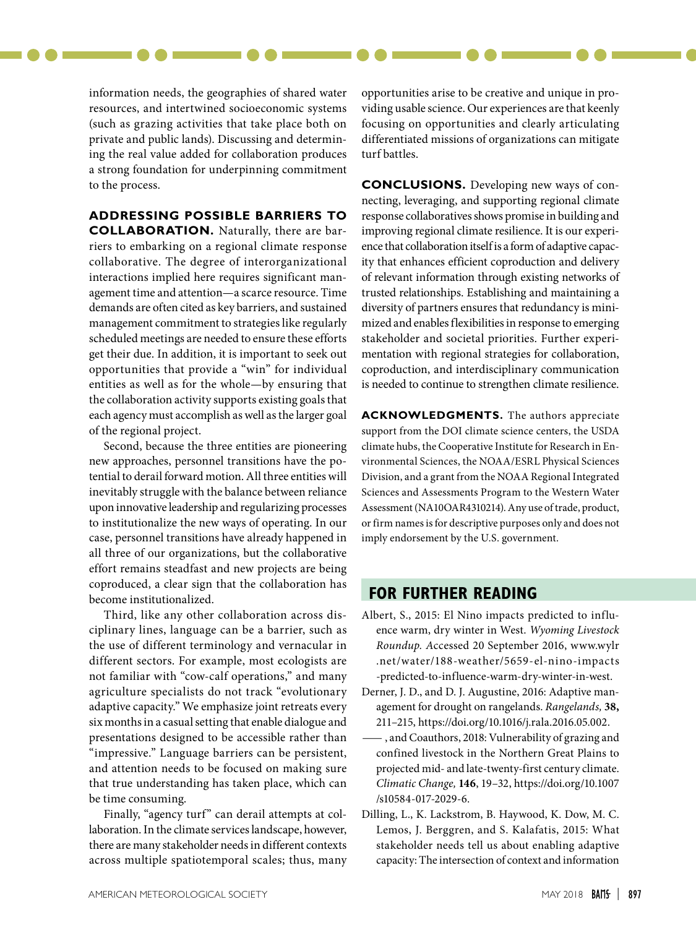information needs, the geographies of shared water resources, and intertwined socioeconomic systems (such as grazing activities that take place both on private and public lands). Discussing and determining the real value added for collaboration produces a strong foundation for underpinning commitment to the process.

## **ADDRESSING POSSIBLE BARRIERS TO**

**COLLABORATION.** Naturally, there are barriers to embarking on a regional climate response collaborative. The degree of interorganizational interactions implied here requires significant management time and attention—a scarce resource. Time demands are often cited as key barriers, and sustained management commitment to strategies like regularly scheduled meetings are needed to ensure these efforts get their due. In addition, it is important to seek out opportunities that provide a "win" for individual entities as well as for the whole—by ensuring that the collaboration activity supports existing goals that each agency must accomplish as well as the larger goal of the regional project.

Second, because the three entities are pioneering new approaches, personnel transitions have the potential to derail forward motion. All three entities will inevitably struggle with the balance between reliance upon innovative leadership and regularizing processes to institutionalize the new ways of operating. In our case, personnel transitions have already happened in all three of our organizations, but the collaborative effort remains steadfast and new projects are being coproduced, a clear sign that the collaboration has become institutionalized.

Third, like any other collaboration across disciplinary lines, language can be a barrier, such as the use of different terminology and vernacular in different sectors. For example, most ecologists are not familiar with "cow-calf operations," and many agriculture specialists do not track "evolutionary adaptive capacity." We emphasize joint retreats every six months in a casual setting that enable dialogue and presentations designed to be accessible rather than "impressive." Language barriers can be persistent, and attention needs to be focused on making sure that true understanding has taken place, which can be time consuming.

Finally, "agency turf" can derail attempts at collaboration. In the climate services landscape, however, there are many stakeholder needs in different contexts across multiple spatiotemporal scales; thus, many opportunities arise to be creative and unique in providing usable science. Our experiences are that keenly focusing on opportunities and clearly articulating differentiated missions of organizations can mitigate turf battles.

**CONCLUSIONS.** Developing new ways of connecting, leveraging, and supporting regional climate response collaboratives shows promise in building and improving regional climate resilience. It is our experience that collaboration itself is a form of adaptive capacity that enhances efficient coproduction and delivery of relevant information through existing networks of trusted relationships. Establishing and maintaining a diversity of partners ensures that redundancy is minimized and enables flexibilities in response to emerging stakeholder and societal priorities. Further experimentation with regional strategies for collaboration, coproduction, and interdisciplinary communication is needed to continue to strengthen climate resilience.

**ACKNOWLEDGMENTS.** The authors appreciate support from the DOI climate science centers, the USDA climate hubs, the Cooperative Institute for Research in Environmental Sciences, the NOAA/ESRL Physical Sciences Division, and a grant from the NOAA Regional Integrated Sciences and Assessments Program to the Western Water Assessment (NA10OAR4310214). Any use of trade, product, or firm names is for descriptive purposes only and does not imply endorsement by the U.S. government.

### **FOR FURTHER READING**

- Albert, S., 2015: El Nino impacts predicted to influence warm, dry winter in West. *Wyoming Livestock Roundup. A*ccessed 20 September 2016, [www.wylr](http://www.wylr.net/water/188-weather/5659-el-nino-impacts-predicted-to-influence-warm-dry-winter-in-west) [.net/water/188-weather/5659-el-nino-impacts](http://www.wylr.net/water/188-weather/5659-el-nino-impacts-predicted-to-influence-warm-dry-winter-in-west) [-predicted-to-influence-warm-dry-winter-in-west](http://www.wylr.net/water/188-weather/5659-el-nino-impacts-predicted-to-influence-warm-dry-winter-in-west).
- Derner, J. D., and D. J. Augustine, 2016: Adaptive management for drought on rangelands. *Rangelands,* **38,** 211–215, [https://doi.org/10.1016/j.rala.2016.05.002.](https://doi.org/10.1016/j.rala.2016.05.002)
- , and Coauthors, 2018: Vulnerability of grazing and confined livestock in the Northern Great Plains to projected mid- and late-twenty-first century climate. *Climatic Change,* **146**, 19–32, [https://doi.org/10.1007](https://doi.org/10.1007/s10584-017-2029-6) [/s10584-017-2029-6.](https://doi.org/10.1007/s10584-017-2029-6)
- Dilling, L., K. Lackstrom, B. Haywood, K. Dow, M. C. Lemos, J. Berggren, and S. Kalafatis, 2015: What stakeholder needs tell us about enabling adaptive capacity: The intersection of context and information